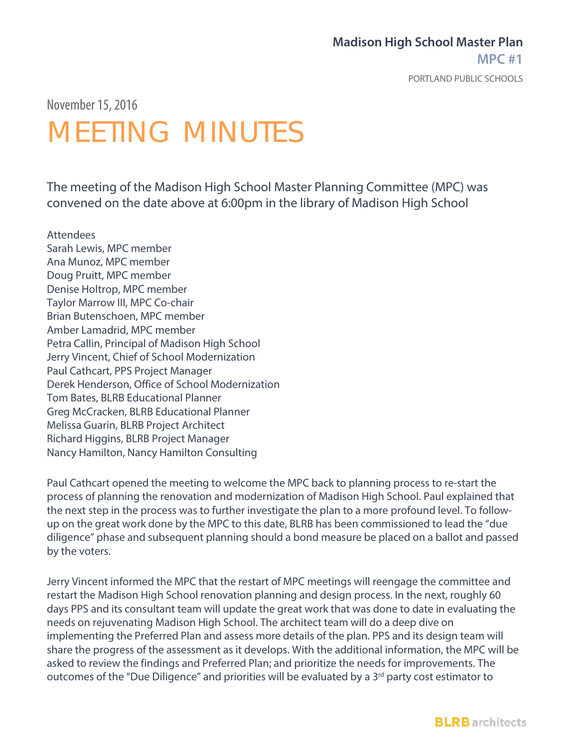### **Madison High School Master Plan**

**MPC #1**

PORTLAND PUBLIC SCHOOLS

November 15,2016

## MEETING MINUTES

The meeting of the Madison High School Master Planning Committee (MPC) was convened on the date above at 6:00pm in the library of Madison High School

Attendees Sarah Lewis, MPC member Ana Munoz, MPC member Doug Pruitt, MPC member Denise Holtrop, MPC member Taylor Marrow III, MPC Co-chair Brian Butenschoen, MPC member Amber Lamadrid, MPC member Petra Callin, Principal of Madison High School Jerry Vincent, Chief of School Modernization Paul Cathcart, PPS Project Manager Derek Henderson, Office of School Modernization Tom Bates, BLRB Educational Planner Greg McCracken, BLRB Educational Planner Melissa Guarin, BLRB Project Architect Richard Higgins, BLRB Project Manager Nancy Hamilton, Nancy Hamilton Consulting

Paul Cathcart opened the meeting to welcome the MPC back to planning process to re-start the process of planning the renovation and modernization of Madison High School. Paul explained that the next step in the process was to further investigate the plan to a more profound level. To followup on the great work done by the MPC to this date, BLRB has been commissioned to lead the "due diligence" phase and subsequent planning should a bond measure be placed on a ballot and passed by the voters.

Jerry Vincent informed the MPC that the restart of MPC meetings will reengage the committee and restart the Madison High School renovation planning and design process. In the next, roughly 60 days PPS and its consultant team will update the great work that was done to date in evaluating the needs on rejuvenating Madison High School. The architect team will do a deep dive on implementing the Preferred Plan and assess more details of the plan. PPS and its design team will share the progress of the assessment as it develops. With the additional information, the MPC will be asked to review the findings and Preferred Plan; and prioritize the needs for improvements. The outcomes of the "Due Diligence" and priorities will be evaluated by a 3<sup>rd</sup> party cost estimator to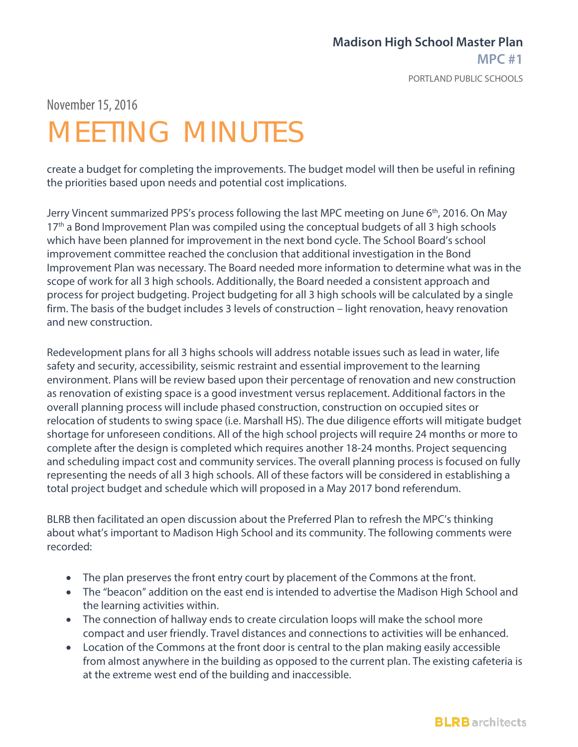#### **Madison High School Master Plan MPC #1**

PORTLAND PUBLIC SCHOOLS

November 15,2016

# MEETING MINUTES

create a budget for completing the improvements. The budget model will then be useful in refining the priorities based upon needs and potential cost implications.

Jerry Vincent summarized PPS's process following the last MPC meeting on June 6<sup>th</sup>, 2016. On May 17<sup>th</sup> a Bond Improvement Plan was compiled using the conceptual budgets of all 3 high schools which have been planned for improvement in the next bond cycle. The School Board's school improvement committee reached the conclusion that additional investigation in the Bond Improvement Plan was necessary. The Board needed more information to determine what was in the scope of work for all 3 high schools. Additionally, the Board needed a consistent approach and process for project budgeting. Project budgeting for all 3 high schools will be calculated by a single firm. The basis of the budget includes 3 levels of construction – light renovation, heavy renovation and new construction.

Redevelopment plans for all 3 highs schools will address notable issues such as lead in water, life safety and security, accessibility, seismic restraint and essential improvement to the learning environment. Plans will be review based upon their percentage of renovation and new construction as renovation of existing space is a good investment versus replacement. Additional factors in the overall planning process will include phased construction, construction on occupied sites or relocation of students to swing space (i.e. Marshall HS). The due diligence efforts will mitigate budget shortage for unforeseen conditions. All of the high school projects will require 24 months or more to complete after the design is completed which requires another 18-24 months. Project sequencing and scheduling impact cost and community services. The overall planning process is focused on fully representing the needs of all 3 high schools. All of these factors will be considered in establishing a total project budget and schedule which will proposed in a May 2017 bond referendum.

BLRB then facilitated an open discussion about the Preferred Plan to refresh the MPC's thinking about what's important to Madison High School and its community. The following comments were recorded:

- The plan preserves the front entry court by placement of the Commons at the front.
- The "beacon" addition on the east end is intended to advertise the Madison High School and the learning activities within.
- The connection of hallway ends to create circulation loops will make the school more compact and user friendly. Travel distances and connections to activities will be enhanced.
- Location of the Commons at the front door is central to the plan making easily accessible from almost anywhere in the building as opposed to the current plan. The existing cafeteria is at the extreme west end of the building and inaccessible.